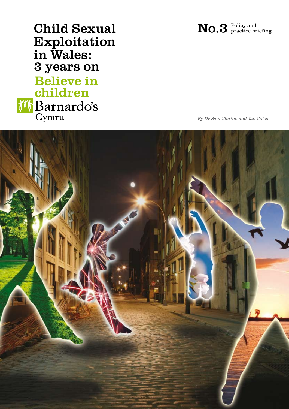Child Sexual Exploitation in Wales: 3 years on **Believe in** children *i* **Barnardo's**<br>Cymru

By Dr Sam Clutton and Jan Coles

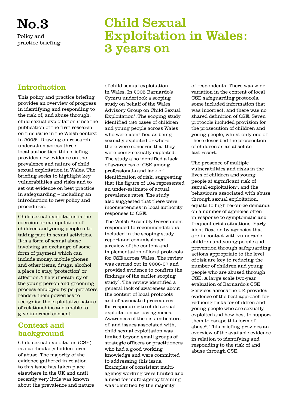# No.3

Policy and practice briefing

## Child Sexual Exploitation in Wales: 3 years on

## Introduction

This policy and practice briefing provides an overview of progress in identifying and responding to the risk of, and abuse through, child sexual exploitation since the publication of the first research on this issue in the Welsh context in 20051. Drawing on research undertaken across three local authorities, this briefing provides new evidence on the prevalence and nature of child sexual exploitation in Wales. The briefing seeks to highlight key vulnerabilities and risks and to set out evidence on best practice in safeguarding – including an introduction to new policy and procedures.

Child sexual exploitation is the coercion or manipulation of children and young people into taking part in sexual activities. It is a form of sexual abuse involving an exchange of some form of payment which can include money, mobile phones and other items, drugs, alcohol, a place to stay, 'protection' or affection. The vulnerability of the young person and grooming process employed by perpetrators renders them powerless to recognise the exploitative nature of relationships and unable to give informed consent.

## Context and background

Child sexual exploitation (CSE) is a particularly hidden form of abuse. The majority of the evidence gathered in relation to this issue has taken place elsewhere in the UK and until recently very little was known about the prevalence and nature

of child sexual exploitation in Wales. In 2005 Barnardo's Cymru undertook a scoping study on behalf of the Wales Advisory Group on Child Sexual  $Exploitation<sup>2</sup>$ . The scoping study identified 184 cases of children and young people across Wales who were identified as being sexually exploited or where there were concerns that they were being sexually exploited. The study also identified a lack of awareness of CSE among professionals and lack of identification of risk, suggesting that the figure of 184 represented an under-estimate of actual prevalence rates. The study also suggested that there were inconsistencies in local authority responses to CSE.

The Welsh Assembly Government responded to recommendations included in the scoping study report and commissioned a review of the content and implementation of local protocols for CSE across Wales. The review was carried out in 2006-07 and provided evidence to confirm the findings of the earlier scoping study3. The review identified a general lack of awareness about the content of local protocols and of associated procedures for responding to child sexual exploitation across agencies. Awareness of the risk indicators of, and issues associated with, child sexual exploitation was limited beyond small groups of strategic officers or practitioners who had a good working knowledge and were committed to addressing this issue. Examples of consistent multiagency working were limited and a need for multi-agency training was identified by the majority

of respondents. There was wide variation in the content of local CSE safeguarding protocols, some included information that was incorrect, and there was no shared definition of CSE. Seven protocols included provision for the prosecution of children and young people, whilst only one of these described the prosecution of children as an absolute last resort.

The presence of multiple vulnerabilities and risks in the lives of children and young people at significant risk of sexual exploitation<sup>4</sup>, and the behaviours associated with abuse through sexual exploitation, equate to high resource demands on a number of agencies often in response to symptomatic and frequent crisis situations. Early identification by agencies that are in contact with vulnerable children and young people and prevention through safeguarding actions appropriate to the level of risk are key to reducing the number of children and young people who are abused through CSE. A large scale two-year evaluation of Barnardo's CSE Services across the UK provides evidence of the best approach for reducing risks for children and young people who are sexually exploited and how best to support them to escape this form of abuse<sup>5</sup>. This briefing provides an overview of the available evidence in relation to identifying and responding to the risk of and abuse through CSE.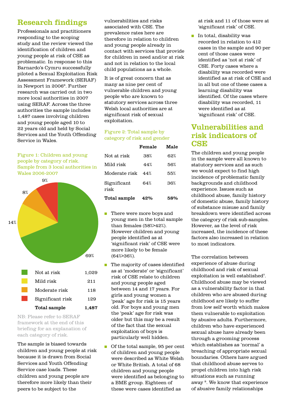## Research findings

Professionals and practitioners responding to the scoping study and the review viewed the identification of children and young people at risk of CSE as problematic. In response to this Barnardo's Cymru successfully piloted a Sexual Exploitation Risk Assessment Framework (SERAF) in Newport in 2006<sup>6</sup>. Further research was carried out in two more local authorities in 2007 using SERAF. Across the three authorities the sample includes 1,487 cases involving children and young people aged 10 to 22 years old and held by Social Services and the Youth Offending Service in Wales.

Figure 1: Children and young people by category of risk. Sample from 3 local authorities in Wales 2006-2007



framework at the end of this briefing for an explanation of each category of risk.

The sample is biased towards children and young people at risk because it is drawn from Social Services and Youth Offending Service case loads. These children and young people are therefore more likely than their peers to be subject to the

vulnerabilities and risks associated with CSE. The prevalence rates here are therefore in relation to children and young people already in contact with services that provide for children in need and/or at risk and not in relation to the local child populations as a whole.

It is of great concern that as many as nine per cent of vulnerable children and young people who are known to statutory services across three Welsh local authorities are at significant risk of sexual exploitation.

#### Figure 2: Total sample by category of risk and gender

|                     | Female | Male |
|---------------------|--------|------|
| Not at risk         | 38%    | 62%  |
| Mild risk           | 44%    | 56%  |
| Moderate risk       | 44%    | 55%  |
| Significant<br>risk | 64%    | 36%  |
| Total sample        | 42%    | 58%  |

- n There were more boys and young men in the total sample than females (58%>42%). However children and young people identified as at 'significant risk' of CSE were more likely to be female (64%>36%).
- $\blacksquare$  The majority of cases identified as at 'moderate' or 'significant' risk of CSE relate to children and young people aged between 14 and 17 years. For girls and young women a 'peak' age for risk is 15 years old. For boys and young men the 'peak' age for risk was older but this may be a result of the fact that the sexual exploitation of boys is particularly well hidden.
- Of the total sample, 95 per cent of children and young people were described as White Welsh or White British. A total of 68 children and young people were identified as belonging to a BME group. Eighteen of these were cases identified as

at risk and 11 of those were at 'significant risk' of CSE.

 $\blacksquare$  In total, disability was recorded in relation to 412 cases in the sample and 90 per cent of those cases were identified as 'not at risk' of CSE. Forty cases where a disability was recorded were identified as at risk of CSE and in all but one of these cases a learning disability was identified. Of the cases where disability was recorded, 11 were identified as at 'significant risk' of CSE.

## Vulnerabilities and risk indicators of **CSE**

The children and young people in the sample were all known to statutory services and as such we would expect to find high incidence of problematic family backgrounds and childhood experience. Issues such as childhood abuse, family history of domestic abuse, family history of substance misuse and family breakdown were identified across the category of risk sub-samples. However, as the level of risk increased, the incidence of these factors also increased in relation to most indicators.

The correlation between experience of abuse during childhood and risk of sexual exploitation is well established<sup>7</sup>. Childhood abuse may be viewed as a vulnerability factor in that children who are abused during childhood are likely to suffer from low self worth which makes them vulnerable to exploitation by abusive adults. Furthermore, children who have experienced sexual abuse have already been through a grooming process which establishes as 'normal' a breaching of appropriate sexual boundaries. Others have argued that childhood abuse serves to propel children into high risk situations such as running away 8. We know that experience of abusive family relationships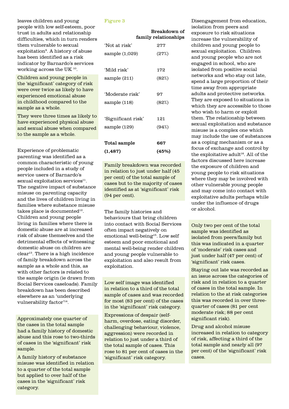leaves children and young people with low self-esteem, poor trust in adults and relationship difficulties, which in turn renders them vulnerable to sexual exploitation9. A history of abuse has been identified as a risk indicator by Barnardo's services working across the UK 10.

Children and young people in the 'significant' category of risk were over twice as likely to have experienced emotional abuse in childhood compared to the sample as a whole.

They were three times as likely to have experienced physical abuse and sexual abuse when compared to the sample as a whole.

Experience of problematic parenting was identified as a common characteristic of young people included in a study of service users of Barnardo's  $sexual exploitation$  services $<sup>11</sup>$ .</sup> The negative impact of substance misuse on parenting capacity and the lives of children living in families where substance misuse takes place is documented $12$ . Children and young people living in families where there is domestic abuse are at increased risk of abuse themselves and the detrimental effects of witnessing domestic abuse on children are  $clear<sup>13</sup>$ . There is a high incidence of family breakdown across the sample as a whole and this, as with other factors is related to the sample origin (ie drawn from Social Services caseloads). Family breakdown has been described elsewhere as an 'underlying vulnerability factor'14.

Approximately one quarter of the cases in the total sample had a family history of domestic abuse and this rose to two-thirds of cases in the 'significant' risk sample.

A family history of substance misuse was identified in relation to a quarter of the total sample but applied to over half of the cases in the 'significant' risk category.

#### Figure 3

|                    | Breakdown of<br>family relationships |
|--------------------|--------------------------------------|
| 'Not at risk'      | 277                                  |
| sample $(1,029)$   | (27%)                                |
|                    |                                      |
| 'Mild risk'        | 172                                  |
| sample (211)       | (82%)                                |
|                    |                                      |
| 'Moderate risk'    | 97                                   |
| sample $(118)$     | (82%)                                |
|                    |                                      |
| 'Significant risk' | 121                                  |
| sample (129)       | (94%)                                |
|                    |                                      |
| Total sample       | 667                                  |
| (1, 487)           | (45%)                                |

Family breakdown was recorded in relation to just under half (45 per cent) of the total sample of cases but to the majority of cases identified as at 'significant' risk (94 per cent).

The family histories and behaviours that bring children into contact with Social Services often impact negatively on emotional well-being<sup>15</sup>. Low self esteem and poor emotional and mental well-being render children and young people vulnerable to exploitation and also result from exploitation.

Low self image was identified in relation to a third of the total sample of cases and was recorded for most (83 per cent) of the cases in the 'significant' risk category.

Expressions of despair (selfharm, overdose, eating disorder, challenging behaviour, violence, aggression) were recorded in relation to just under a third of the total sample of cases. This rose to 81 per cent of cases in the 'significant' risk category.

Disengagement from education, isolation from peers and exposure to risk situations increase the vulnerability of children and young people to sexual exploitation. Children and young people who are not engaged in school, who are isolated from positive social networks and who stay out late, spend a large proportion of their time away from appropriate adults and protective networks. They are exposed to situations in which they are accessible to those who wish to harm or exploit them. The relationship between sexual exploitation and substance misuse is a complex one which may include the use of substances as a coping mechanism or as a focus of exchange and control by the exploitative adult<sup>16</sup>. All of the factors discussed here increase the exposure of children and young people to risk situations where they may be involved with other vulnerable young people and may come into contact with exploitative adults perhaps while under the influence of drugs or alcohol.

Only two per cent of the total sample was identified as isolated from peers/family but this was indicated in a quarter of 'moderate' risk cases and just under half (47 per cent) of 'significant' risk cases.

Staying out late was recorded as an issue across the categories of risk and in relation to a quarter of cases in the total sample. In relation to the at risk categories this was recorded in over threequarter of cases (81 per cent moderate risk; 88 per cent significant risk).

Drug and alcohol misuse increased in relation to category of risk, affecting a third of the total sample and nearly all (97 per cent) of the 'significant' risk cases.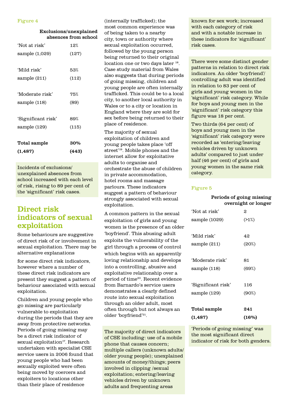#### Figure 4

| Exclusions/unexplained |  |  |
|------------------------|--|--|
| absences from school   |  |  |

| 'Not at risk'      | 12%   |
|--------------------|-------|
| sample $(1,029)$   | (127) |
|                    |       |
| 'Mild risk'        | 53%   |
| sample (211)       | (112) |
|                    |       |
| 'Moderate risk'    | 75%   |
| sample (118)       | (89)  |
|                    |       |
| 'Significant risk' | 89%   |
| sample (129)       | (115) |
|                    |       |
| Total sample       | 30%   |
| (1, 487)           | (443) |

Incidents of exclusions/ unexplained absences from school increased with each level of risk, rising to 89 per cent of the 'significant' risk cases.

## Direct risk indicators of sexual exploitation

Some behaviours are suggestive of direct risk of or involvement in sexual exploitation. There may be alternative explanations

for some direct risk indicators, however where a number of these direct risk indicators are present they suggest a pattern of behaviour associated with sexual exploitation.

Children and young people who go missing are particularly vulnerable to exploitation during the periods that they are away from protective networks. Periods of going missing may be a direct risk indicator of sexual exploitation<sup>17</sup>. Research undertaken with specialist CSE service users in 2006 found that young people who had been sexually exploited were often being moved by coercers and exploiters to locations other than their place of residence

(internally trafficked); the most common experience was of being taken to a nearby city, town or authority where sexual exploitation occurred, followed by the young person being returned to their original location one or two days later <sup>18</sup>. Case study material from Wales also suggests that during periods of going missing, children and young people are often internally trafficked. This could be to a local city, to another local authority in Wales or to a city or location in England where they are sold for sex before being returned to their place of residence.

The majority of sexual exploitation of children and young people takes place 'off street'19. Mobile phones and the internet allow for exploitative adults to organise and orchestrate the abuse of children in private accommodation, hotel rooms and massage parlours. These indicators suggest a pattern of behaviour strongly associated with sexual exploitation.

A common pattern in the sexual exploitation of girls and young women is the presence of an older 'boyfriend'. This abusing adult exploits the vulnerability of the girl through a process of control which begins with an apparently loving relationship and develops into a controlling, abusive and exploitative relationship over a period of time<sup>20</sup>. Recent evidence from Barnardo's service users demonstrates a clearly defined route into sexual exploitation through an older adult, most often through but not always an older 'boyfriend'21.

The majority of direct indicators of CSE including: use of a mobile phone that causes concern; multiple callers (unknown adults/ older young people); unexplained amounts of money/things; peers involved in clipping /sexual exploitation; entering/leaving vehicles driven by unknown adults and frequenting areas

known for sex work; increased with each category of risk and with a notable increase in these indicators for 'significant' risk cases.

There were some distinct gender patterns in relation to direct risk indicators. An older 'boyfriend'/ controlling adult was identified in relation to 83 per cent of girls and young women in the 'significant' risk category. While for boys and young men in the 'significant' risk category this figure was 18 per cent.

Two thirds (64 per cent) of boys and young men in the 'significant' risk category were recorded as 'entering/leaving vehicles driven by unknown adults' compared to just under half (46 per cent) of girls and young women in the same risk category.

#### Figure 5

#### Periods of going missing overnight or longer

| Total sample       | 241      |
|--------------------|----------|
|                    |          |
| sample (129)       | $(90\%)$ |
| 'Significant risk' | 116      |
| sample (118)       | (69%)    |
| 'Moderate risk'    | 81       |
| sample (211)       | (20%)    |
| 'Mild risk'        | 42       |
| sample (1029)      | (>1%)    |
| 'Not at risk'      | 2        |
|                    |          |

'Periods of going missing' was the most significant direct indicator of risk for both genders.

 $(1,487)$   $(16\%)$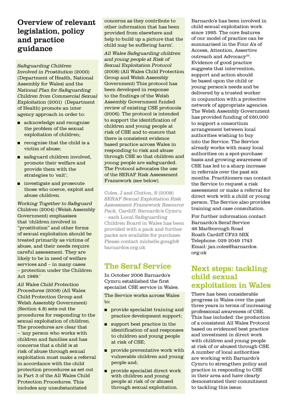## Overview of relevant legislation, policy and practice guidance

#### Safeguarding Children

Involved in Prostitution (2000) (Department of Health, National Assembly for Wales) and the National Plan for Safeguarding Children from Commercial Sexual Exploitation (2001) (Department of Health) promote an inter agency approach in order to:

- acknowledge and recognise the problem of the sexual exploitation of children;
- $\blacksquare$  recognise that the child is a victim of abuse;
- $\Box$  safeguard children involved, promote their welfare and provide them with the strategies to 'exit';
- $\blacksquare$  investigate and prosecute those who coerce, exploit and abuse children.

Working Together to Safeguard Children (2004) (Welsh Assembly Government) emphasises that 'children involved in "prostitution" and other forms of sexual exploitation should be treated primarily as victims of abuse, and their needs require careful assessment. They are likely to be in need of welfare services and – in many cases – protection under the Children Act 1989.'

All Wales Child Protection Procedures (2008) (All Wales Child Protection Group and Welsh Assembly Government) (Section 4.8) sets out the procedures for responding to the sexual exploitation of children. The procedures are clear that – 'any person who works with children and families and has concerns that a child is at risk of abuse through sexual exploitation must make a referral in accordance with the child protection procedures as set out in Part 3 of the All Wales Child Protection Procedures. This includes any unsubstantiated

concerns as they contribute to other information that has been provided from elsewhere and help to build up a picture that the child may be suffering harm'.

All Wales Safeguarding children and young people at Risk of Sexual Exploitation Protocol (2008) (All Wales Child Protection Group and Welsh Assembly Government) This protocol has been developed in response to the findings of the Welsh Assembly Government funded review of existing CSE protocols (2006). The protocol is intended to support the identification of children and young people at risk of CSE and to ensure that there is consistent evidence based practice across Wales in responding to risk and abuse through CSE so that children and young people are safeguarded. The Protocol advocates the use of the SERAF Risk Assessment Framework (see below).

Coles, J and Clutton, S (2008) SERAF Sexual Exploitation Risk Assessment Framework Resource Pack, Cardiff: Barnardo's Cymru – each Local Safeguarding Children Board in Wales has been provided with a pack and further packs are available for purchase. Please contact michelle.gough@ barnardos.org.uk

## The Seraf Service

In October 2006 Barnardo's Cymru established the first specialist CSE service in Wales.

The Service works across Wales  $t \circ$ :

- $\Box$  provide specialist training and practice development support;
- $\blacksquare$  support best practice in the identification of and responses to children and young people at risk of CSE;
- <sup>n</sup> provide preventative work with vulnerable children and young people and;
- <sup>n</sup> provide specialist direct work with children and young people at risk of or abused through sexual exploitation.

Barnardo's has been involved in child sexual exploitation work since 1995. The core features of our model of practice can be summarised in the Four A's of Access, Attention, Assertive outreach and Advocacy<sup>22</sup>. Evidence of good practice suggests that intervention, support and action should be based upon the child or young person's needs and be delivered by a trusted worker in conjunction with a protective network of appropriate agencies. The Welsh Assembly Government has provided funding of £60,000 to support a consortium arrangement between local authorities wishing to buy into the Service. The Service already works with many local authorities on a spot-purchase basis and growing awareness of CSE has led to a sharp increase in referrals over the past six months. Practitioners can contact the Service to request a risk assessment or make a referral for direct work with a child or young person. The Service also provides training and case consultation.

For further information contact Barnardo's Seraf Service 46 Marlborough Road Roath Cardiff CF23 5BX Telephone: 029 2049 1743 Email: jan.coles@barnardos. org.uk

## Next steps: tackling child sexual exploitation in Wales

There has been considerable progress in Wales over the past three years in terms of increasing professional awareness of CSE. This has included: the production of a consistent All Wales Protocol based on evidenced best practice and investment in direct work with children and young people at risk of or abused through CSE. A number of local authorities are working with Barnardo's Cymru to strengthen policy and practice in responding to CSE in their area and have clearly demonstrated their commitment to tackling this issue.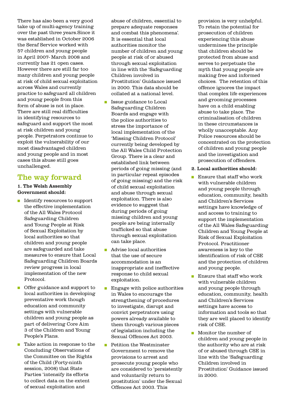There has also been a very good take up of multi-agency training over the past three years.Since it was established in October 2006 the Seraf Service worked with 57 children and young people in April 2007- March 2008 and currently has 21 open cases. However there are still far too many children and young people at risk of child sexual exploitation across Wales and currently practice to safeguard all children and young people from this form of abuse is not in place. There are still real difficulties in identifying resources to safeguard and support the most at risk children and young people. Perpetrators continue to exploit the vulnerability of our most disadvantaged children and young people and in most cases this abuse still goes unchallenged.

### The way forward

#### 1. The Welsh Assembly Government should:

- Identify resources to support the effective implementation of the All Wales Protocol Safeguarding Children and Young People at Risk of Sexual Exploitation by local authorities so that children and young people are safeguarded and take measures to ensure that Local Safeguarding Children Boards review progress in local implementation of the new Protocol.
- **n** Offer guidance and support to local authorities in developing preventative work though education and community settings with vulnerable children and young people as part of delivering Core Aim 3 of the Children and Young People's Plans.
- n Take action in response to the Concluding Observations of the Committee on the Rights of the Child (Forty-ninth session, 2008) that State Parties 'intensify its efforts to collect data on the extent of sexual exploitation and

abuse of children, essential to prepare adequate responses and combat this phenomena'. It is essential that local authorities monitor the number of children and young people at risk of or abused through sexual exploitation in line with the 'Safeguarding Children involved in Prostitution' Guidance issued in 2000. This data should be collated at a national level.

- **n** Issue guidance to Local Safeguarding Children Boards and engage with the police authorities to stress the importance of local implementation of the 'Missing Children Protocol' currently being developed by the All Wales Child Protection Group. There is a clear and established link between periods of going missing (and in particular repeat episodes of going missing) and the risk of child sexual exploitation and abuse through sexual exploitation. There is also evidence to suggest that during periods of going missing children and young people are being internally trafficked so that abuse through sexual exploitation can take place.
- <sup>n</sup> Advise local authorities that the use of secure accommodation is an inappropriate and ineffective response to child sexual exploitation.
- **n** Engage with police authorities in Wales to encourage the strengthening of procedures to investigate, disrupt and convict perpetrators using powers already available to them through various pieces of legislation including the Sexual Offences Act 2003.
- n Petition the Westminster Government to remove the provisions to arrest and prosecute young people who are considered to 'persistently and voluntarily return to prostitution' under the Sexual Offences Act 2003. This

provision is very unhelpful. To retain the potential for prosecution of children experiencing this abuse undermines the principle that children should be protected from abuse and serves to perpetuate the myth that young people are making free and informed choices. The retention of this offence ignores the impact that complex life experiences and grooming processes have on a child enabling abuse to take place. The criminalisation of children in these circumstances is wholly unacceptable. Any Police resources should be concentrated on the protection of children and young people and the investigation and prosecution of offenders.

- 2. Local authorities should:
- Ensure that staff who work with vulnerable children and young people through education, community, health and Children's Services settings have knowledge of and access to training to support the implementation of the All Wales Safeguarding Children and Young People at Risk of Sexual Exploitation Protocol. Practitioner awareness is key to the identification of risk of CSE and the protection of children and young people.
- $\blacksquare$  Ensure that staff who work with vulnerable children and young people through education, community, health and Children's Services settings have access to information and tools so that they are well placed to identify risk of CSE.
- Monitor the number of children and young people in the authority who are at risk of or abused through CSE in line with the 'Safeguarding Children involved in Prostitution' Guidance issued in 2000.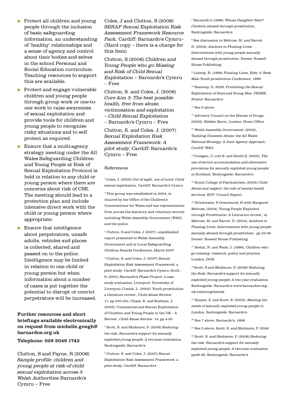- n Protect all children and young people through the inclusion of basic safeguarding information, an understanding of 'healthy' relationships and a sense of agency and control about their bodies and selves in the school Personal and Social Education curriculum. Teaching resources to support this are available.
- n Protect and engage vulnerable children and young people through group work or one-toone work to raise awareness of sexual exploitation and provide tools for children and young people to recognise risky situations and to self protect as required.
- **n** Ensure that a multi-agency strategy meeting under the All Wales Safeguarding Children and Young People at Risk of Sexual Exploitation Protocol is held in relation to any child or young person where there are concerns about risk of CSE. The meeting should lead to a protection plan and include intensive direct work with the child or young person where appropriate.
- **n** Ensure that intelligence about perpetrators, unsafe adults, vehicles and places is collected, shared and passed on to the police. Intelligence may be limited in relation to one child or young person but when information about a number of cases is put together the potential to disrupt or convict perpetrators will be increased.

#### Further resources and short briefings available electronically on request from michelle.gough@ barnardos.org.uk

#### Telephone: 029 2049 1743

Clutton, S and Payne, R (2008) Sample profile: children and young people at risk of child sexual exploitation across 3 Welsh Authorities Barnardo's Cymru – Free

Coles, J and Clutton, S (2008) SERAF Sexual Exploitation Risk Assessment Framework Resource Pack, Cardiff: Barnardo's Cymru– (Hard copy – there is a charge for this item)

Clutton, S (2008) Children and Young People who go Missing and Risk of Child Sexual Exploitation – Barnardo's Cymru – Free

Clutton, S. and Coles, J. (2008) Core Aim 3: The best possible health, free from abuse, victimisation and exploitation – Child Sexual Exploitation – Barnardo's Cymru – Free

Clutton, S. and Coles, J. (2007) Sexual Exploitation Risk Assessment Framework: A pilot study, Cardiff: Barnardo's Cymru – Free

#### References

<sup>1</sup> Coles, J. (2005) Out of sight, out of mind: Child sexual exploitation, Cardiff: Barnardo's Cymru

<sup>2</sup> This group was established in 2004, is chaired by the Office of the Children's Commissioner for Wales and has representation from across the statutory and voluntary sectors including Welsh Assembly Government (WAG) and the police.

3 Clutton, S and Coles, J (2007) -unpublished report presented to Welsh Assembly Government and at Local Safeguarding Children Boards Conference, March 2007

4 Clutton, S. and Coles, J. (2007) Sexual Exploitation Risk Assessment Framework: a pilot study, Cardiff: Barnardo's Cymru: Scott, S. (2001) Barnardo's Phase Project: a case study evaluation, Liverpool: University of Liverpool; Cusick, L (2002) 'Youth prostitution: a literature review', Child Abuse Review: 11: pp 230-251; Chase, E. and Statham, J. (2005) 'Commercial and Sexual Exploitation of Children and Young People in the UK – A Review', Child Abuse Review: 14: pp 4-25

5 Scott, S. and Skidmore, P. (2006) Reducing the risk: Barnardo's support for sexually exploited young people: A two-year evaluation, Barkingside: Barnardo's

6 Clutton, S. and Coles, J. (2007) Sexual Exploitation Risk Assessment Framework: a pilot study, Cardiff: Barnardo's

7 Barnardo's (1998), Whose Daughter Next? Children abused through prostitution, Barkingside: Barnardo's

8 See discussion in Melrose, M. and Barret. D. (2004), Anchors in Floating Lives: Interventions with young people sexually abused through prostitution, Dorset: Russell House Publishing

9 Leheup, R, (1999) Floating Lives, Hide 'n' Seek Male Youth prostitution Conference, 1999

<sup>10</sup> Stanway, D, 2006, Preventing the Sexual Exploitation of Boys and Young Men: PRIME, Bristol: Barnardo's

 $11$  See 5 above.

<sup>12</sup> Advisory Council on the Misuse of Drugs, (2003), Hidden Harm, London: Home Office

13 Welsh Assembly Government, (2005), Tackling Domestic Abuse: the All Wales National Strategy, A Joint Agency Approach, Cardiff: WAG

14 Creegan, C; cott,S. and Smith,S. (2005), The use of secure accommodation and alternative provisions for sexually exploited young people in Scotland, Barkingside: Barnardo's

<sup>15</sup> Royal College of Psychiatrists, (2004) Child Abuse and neglect: the role of mental health services, RCP: Council Report.

16 Drinkwater, S Greenwood, H with Margaret Melrose, (2004) 'Young People Exploited through Prostitution: A Literature review', in Melrose, M. and Barret. D. (2004), Anchors in Floating Lives: Interventions with young people sexually abused through prostitution, pp 23-35 Dorset: Russell House Publishing

<sup>17</sup> Biehal, N. and Wade, J. (1999), *Children who* go missing: research, policy and practice, London: DOH

<sup>18</sup> Scott. S and Skidmore, P..(2006) Reducing the Risk: Barnardo's support for sexually exploited young people; A two year evaluation, Barkingside: Barnardo's www.barnardos.org. uk/reducingtherisk

<sup>19</sup> Harper, Z. and Scott, S. (2005), Meeting the needs of sexually exploited young people in London, Barkingside: Barnardo's

20 See 7 above, Barnardo's, 1998

21 See 5 above, Scott, S. and Skidmore, P. 2006

<sup>22</sup> Scott, S. and Skidmore, P. (2006) Reducing the risk: Barnardo's support for sexually exploited young people: A two-year evaluation, pp48-49, Barkingside: Barnardo's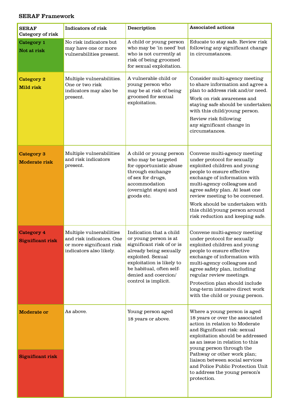#### SERAF Framework

| <b>SERAF</b><br>Category of risk          | <b>Indicators of risk</b>                                                                                   | Description                                                                                                                                                                                                                           | <b>Associated actions</b>                                                                                                                                                                                                                                                                                                                                                                   |
|-------------------------------------------|-------------------------------------------------------------------------------------------------------------|---------------------------------------------------------------------------------------------------------------------------------------------------------------------------------------------------------------------------------------|---------------------------------------------------------------------------------------------------------------------------------------------------------------------------------------------------------------------------------------------------------------------------------------------------------------------------------------------------------------------------------------------|
| Category 1<br>Not at risk                 | No risk indicators but<br>may have one or more<br>vulnerabilities present.                                  | A child or young person<br>who may be 'in need' but<br>who is not currently at<br>risk of being groomed<br>for sexual exploitation.                                                                                                   | Educate to stay safe. Review risk<br>following any significant change<br>in circumstances.                                                                                                                                                                                                                                                                                                  |
| Category 2<br><b>Mild risk</b>            | Multiple vulnerabilities.<br>One or two risk<br>indicators may also be<br>present.                          | A vulnerable child or<br>young person who<br>may be at risk of being<br>groomed for sexual<br>exploitation.                                                                                                                           | Consider multi-agency meeting<br>to share information and agree a<br>plan to address risk and/or need.<br>Work on risk awareness and<br>staying safe should be undertaken<br>with this child/young person.<br>Review risk following<br>any significant change in<br>circumstances.                                                                                                          |
| <b>Category 3</b><br><b>Moderate risk</b> | Multiple vulnerabilities<br>and risk indicators<br>present.                                                 | A child or young person<br>who may be targeted<br>for opportunistic abuse<br>through exchange<br>of sex for drugs,<br>accommodation<br>(overnight stays) and<br>goods etc.                                                            | Convene multi-agency meeting<br>under protocol for sexually<br>exploited children and young<br>people to ensure effective<br>exchange of information with<br>multi-agency colleagues and<br>agree safety plan. At least one<br>review meeting to be convened.<br>Work should be undertaken with<br>this child/young person around<br>risk reduction and keeping safe.                       |
| Category 4<br><b>Significant risk</b>     | Multiple vulnerabilities<br>and risk indicators. One<br>or more significant risk<br>indicators also likely. | Indication that a child<br>or young person is at<br>significant risk of or is<br>already being sexually<br>exploited. Sexual<br>exploitation is likely to<br>be habitual, often self-<br>denied and coercion/<br>control is implicit. | Convene multi-agency meeting<br>under protocol for sexually<br>exploited children and young<br>people to ensure effective<br>exchange of information with<br>multi-agency colleagues and<br>agree safety plan, including<br>regular review meetings.<br>Protection plan should include<br>long-term intensive direct work<br>with the child or young person.                                |
| <b>Moderate or</b>                        | As above.                                                                                                   | Young person aged<br>18 years or above.                                                                                                                                                                                               | Where a young person is aged<br>18 years or over the associated<br>action in relation to Moderate<br>and Significant risk: sexual<br>exploitation should be addressed<br>as an issue in relation to this<br>young person through the<br>Pathway or other work plan;<br>liaison between social services<br>and Police Public Protection Unit<br>to address the young person's<br>protection. |
| <b>Significant risk</b>                   |                                                                                                             |                                                                                                                                                                                                                                       |                                                                                                                                                                                                                                                                                                                                                                                             |